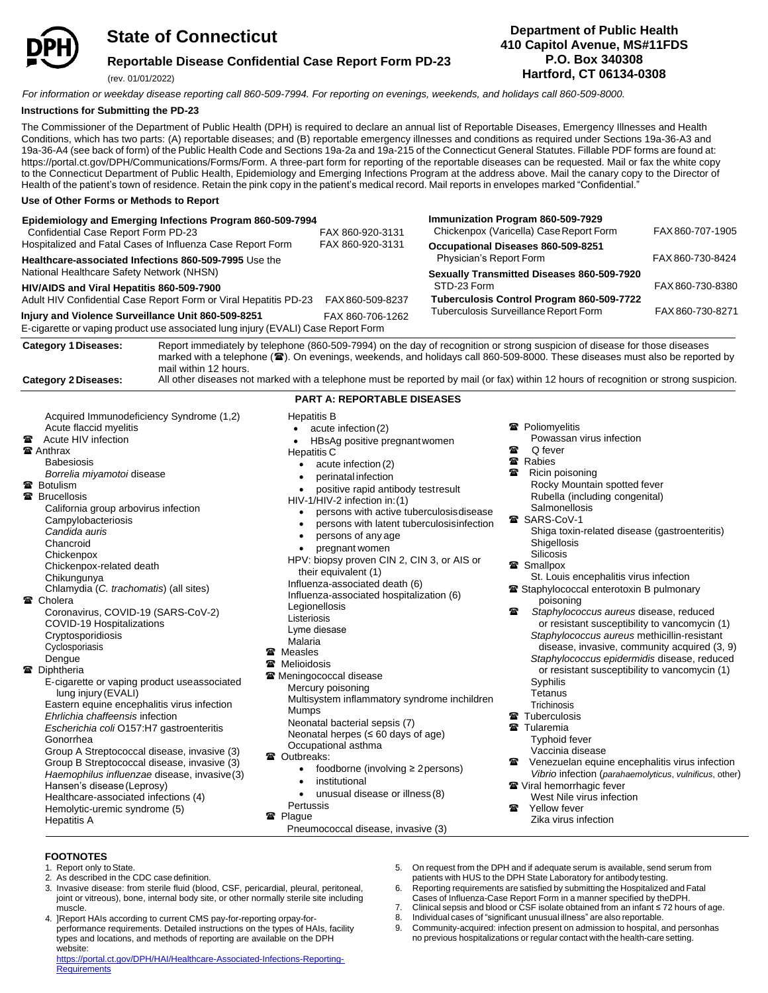

## **State of Connecticut**

### **Reportable Disease Confidential Case Report Form PD-23**

(rev. 01/01/2022)

### **Department of Public Health 410 Capitol Avenue, MS#11FDS P.O. Box 340308 Hartford, CT 06134-0308**

*For information or weekday disease reporting call 860-509-7994. For reporting on evenings, weekends, and holidays call 860-509-8000.*

### **Instructions for Submitting the PD-23**

The Commissioner of the Department of Public Health (DPH) is required to declare an annual list of Reportable Diseases, Emergency Illnesses and Health Conditions, which has two parts: (A) reportable diseases; and (B) reportable emergency illnesses and conditions as required under Sections 19a-36-A3 and 19a-36-A4 (see back of form) of the Public Health Code and Sections 19a-2a and 19a-215 of the Connecticut General Statutes. Fillable PDF forms are found at: https://portal.ct.gov/DPH/Communications/Forms/Form. A three-part form for reporting of the reportable diseases can be requested. Mail or fax the white copy to the Connecticut Department of Public Health, Epidemiology and Emerging Infections Program at the address above. Mail the canary copy to the Director of Health of the patient's town of residence. Retain the pink copy in the patient's medical record. Mail reports in envelopes marked "Confidential."

### **Use of Other Forms or Methods to Report**

| Epidemiology and Emerging Infections Program 860-509-7994<br>Confidential Case Report Form PD-23                                        | FAX 860-920-3131                           | Immunization Program 860-509-7929<br>Chickenpox (Varicella) Case Report Form | FAX 860-707-1905 |
|-----------------------------------------------------------------------------------------------------------------------------------------|--------------------------------------------|------------------------------------------------------------------------------|------------------|
| Hospitalized and Fatal Cases of Influenza Case Report Form                                                                              | FAX 860-920-3131                           | Occupational Diseases 860-509-8251                                           |                  |
| Healthcare-associated Infections 860-509-7995 Use the                                                                                   |                                            | Physician's Report Form                                                      | FAX 860-730-8424 |
| National Healthcare Safety Network (NHSN)                                                                                               | Sexually Transmitted Diseases 860-509-7920 |                                                                              |                  |
| HIV/AIDS and Viral Hepatitis 860-509-7900                                                                                               |                                            | STD-23 Form                                                                  | FAX 860-730-8380 |
| Adult HIV Confidential Case Report Form or Viral Hepatitis PD-23                                                                        | FAX 860-509-8237                           | Tuberculosis Control Program 860-509-7722                                    |                  |
| Injury and Violence Surveillance Unit 860-509-8251<br>E-cigarette or vaping product use associated lung injury (EVALI) Case Report Form | FAX 860-706-1262                           | Tuberculosis Surveillance Report Form                                        | FAX 860-730-8271 |

**Category 1Diseases:** Report immediately by telephone (860-509-7994) on the day of recognition or strong suspicion of disease for those diseases marked with a telephone (
<sup>2</sup>). On evenings, weekends, and holidays call 860-509-8000. These diseases must also be reported by mail within 12 hours.

**Category 2 Diseases:** All other diseases not marked with a telephone must be reported by mail (or fax) within 12 hours of recognition or strong suspicion.

|                                                                                                                                                                                                                                                                                                                                                                                                                                                                                                                                                                                                                                                                                                                                                                                                                                                                                                                                                                                                                      | <b>PART A: REPORTABLE DISEASES</b>                                                                                                                                                                                                                                                                                                                                                                                                                                                                                                                                                                                                                                                                                                                                                                                                                                                                                                                                                                          |                                                                                                                                                                                                                                                                                                                                                                                                                                                                                                                                         |
|----------------------------------------------------------------------------------------------------------------------------------------------------------------------------------------------------------------------------------------------------------------------------------------------------------------------------------------------------------------------------------------------------------------------------------------------------------------------------------------------------------------------------------------------------------------------------------------------------------------------------------------------------------------------------------------------------------------------------------------------------------------------------------------------------------------------------------------------------------------------------------------------------------------------------------------------------------------------------------------------------------------------|-------------------------------------------------------------------------------------------------------------------------------------------------------------------------------------------------------------------------------------------------------------------------------------------------------------------------------------------------------------------------------------------------------------------------------------------------------------------------------------------------------------------------------------------------------------------------------------------------------------------------------------------------------------------------------------------------------------------------------------------------------------------------------------------------------------------------------------------------------------------------------------------------------------------------------------------------------------------------------------------------------------|-----------------------------------------------------------------------------------------------------------------------------------------------------------------------------------------------------------------------------------------------------------------------------------------------------------------------------------------------------------------------------------------------------------------------------------------------------------------------------------------------------------------------------------------|
| Acquired Immunodeficiency Syndrome (1,2)<br>Acute flaccid myelitis<br>Acute HIV infection<br>₩<br><b>雷 Anthrax</b><br><b>Babesiosis</b><br>Borrelia miyamotoi disease<br><b>雷 Botulism</b><br><b>雷</b> Brucellosis<br>California group arbovirus infection<br>Campylobacteriosis<br>Candida auris<br>Chancroid<br>Chickenpox<br>Chickenpox-related death<br>Chikungunya<br>Chlamydia (C. trachomatis) (all sites)<br><b>雷 Cholera</b><br>Coronavirus, COVID-19 (SARS-CoV-2)<br>COVID-19 Hospitalizations<br>Cryptosporidiosis<br>Cyclosporiasis<br>Dengue<br><b>雷</b> Diphtheria<br>E-cigarette or vaping product useassociated<br>lung injury (EVALI)<br>Eastern equine encephalitis virus infection<br>Ehrlichia chaffeensis infection<br>Escherichia coli O157:H7 gastroenteritis<br>Gonorrhea<br>Group A Streptococcal disease, invasive (3)<br>Group B Streptococcal disease, invasive (3)<br>Haemophilus influenzae disease, invasive(3)<br>Hansen's disease (Leprosy)<br>Healthcare-associated infections (4) | <b>Hepatitis B</b><br>acute infection (2)<br>HBsAg positive pregnant women<br><b>Hepatitis C</b><br>acute infection (2)<br>perinatal infection<br>positive rapid antibody test result<br>HIV-1/HIV-2 infection in: (1)<br>persons with active tuberculosis disease<br>persons with latent tuberculosisinfection<br>persons of any age<br>٠<br>pregnant women<br>HPV: biopsy proven CIN 2, CIN 3, or AIS or<br>their equivalent (1)<br>Influenza-associated death (6)<br>Influenza-associated hospitalization (6)<br>Legionellosis<br>Listeriosis<br>Lyme diesase<br>Malaria<br><b>雷</b> Measles<br><b>雷</b> Melioidosis<br><b>■ Meningococcal disease</b><br>Mercury poisoning<br>Multisystem inflammatory syndrome inchildren<br>Mumps<br>Neonatal bacterial sepsis (7)<br>Neonatal herpes ( $\leq 60$ days of age)<br>Occupational asthma<br><b>雷 Outbreaks:</b><br>foodborne (involving $\geq$ 2 persons)<br>$\bullet$<br>institutional<br>$\bullet$<br>unusual disease or illness (8)<br>٠<br>Pertussis | <b>■</b> Poliomyeli<br>Powassa<br>魯<br>Q fever<br><b>雷 Rabies</b><br>魯<br>Ricin poi:<br>Rocky M<br>Rubella<br>Salmone<br><b>雷 SARS-Co</b><br>Shiga to:<br><b>Shigellos</b><br><b>Silicosis</b><br><b>■</b> Smallpox<br>St. Louis<br><b>■</b> Staphyloco<br>poison<br>魯<br>Staphylo<br>or resis<br>Staphylc<br>diseas<br>Staphylc<br>or resis<br>Syphilis<br>Tetanus<br>Trichinosi<br><b>雷 Tuberculo</b><br><b>雷</b> Tularemia<br>Typhoid<br>Vaccinia<br>Venezue<br>霽<br>Vibrio inf<br><b>☎</b> Viral hemo<br>West Nil<br>Yellow fe<br>霽 |
| Hemolytic-uremic syndrome (5)<br><b>Hepatitis A</b>                                                                                                                                                                                                                                                                                                                                                                                                                                                                                                                                                                                                                                                                                                                                                                                                                                                                                                                                                                  | <b>雷 Plague</b><br>Pneumococcal disease, invasive (3)                                                                                                                                                                                                                                                                                                                                                                                                                                                                                                                                                                                                                                                                                                                                                                                                                                                                                                                                                       | Zika viru                                                                                                                                                                                                                                                                                                                                                                                                                                                                                                                               |

### elitis

- san virus infection
- 
- disoning Mountain spotted fever I (including congenital)
- Salmonellosis  $oV-1$
- oxin-related disease (gastroenteritis) osis Silicosis
- 
- is encephalitis virus infection coccal enterotoxin B pulmonary
- ning
- *Staphylococcus aureus* disease, reduced sistant susceptibility to vancomycin (1) *Staphylococcus aureus* methicillin-resistant ise, invasive, community acquired (3, 9) *Staphylococcus epidermidis* disease, reduced sistant susceptibility to vancomycin (1) Syphilis
- sis losis
- 
- d fever
- ia disease
- elan equine encephalitis virus infection *Vibrio* infection (*parahaemolyticus*, *vulnificus*, other)
- orrhagic fever
	- lile virus infection
	- fever rus infection

### **FOOTNOTES**

1. Report only to State.

**Requirements** 

- 2. As described in the CDC case definition.
- 3. Invasive disease: from sterile fluid (blood, CSF, pericardial, pleural, peritoneal, joint or vitreous), bone, internal body site, or other normally sterile site including muscle.
- 4. ]Report HAIs according to current CMS pay-for-reporting orpay-forperformance requirements. Detailed instructions on the types of HAIs, facility types and locations, and methods of reporting are available on the DPH [website:](https://portal.ct.gov/DPH/HAI/Healthcare-Associated-Infections-Reporting-Requirements) [https://portal.ct.gov/DPH/HAI/Healthcare-Associated-Infections-Reporting-](https://portal.ct.gov/DPH/HAI/Healthcare-Associated-Infections-Reporting-Requirements)
- 5. On request from the DPH and if adequate serum is available, send serum from patients with HUS to the DPH State Laboratory for antibodytesting.
- 6. Reporting requirements are satisfied by submitting the Hospitalized and Fatal Cases of Influenza-Case Report Form in a manner specified by theDPH.
- 7. Clinical sepsis and blood or CSF isolate obtained from an infant ≤ 72 hours of age. 8. Individual cases of "significant unusual illness" are also reportable.
- 
- 9. Community-acquired: infection present on admission to hospital, and personhas no previous hospitalizations or regular contact with the health-care setting.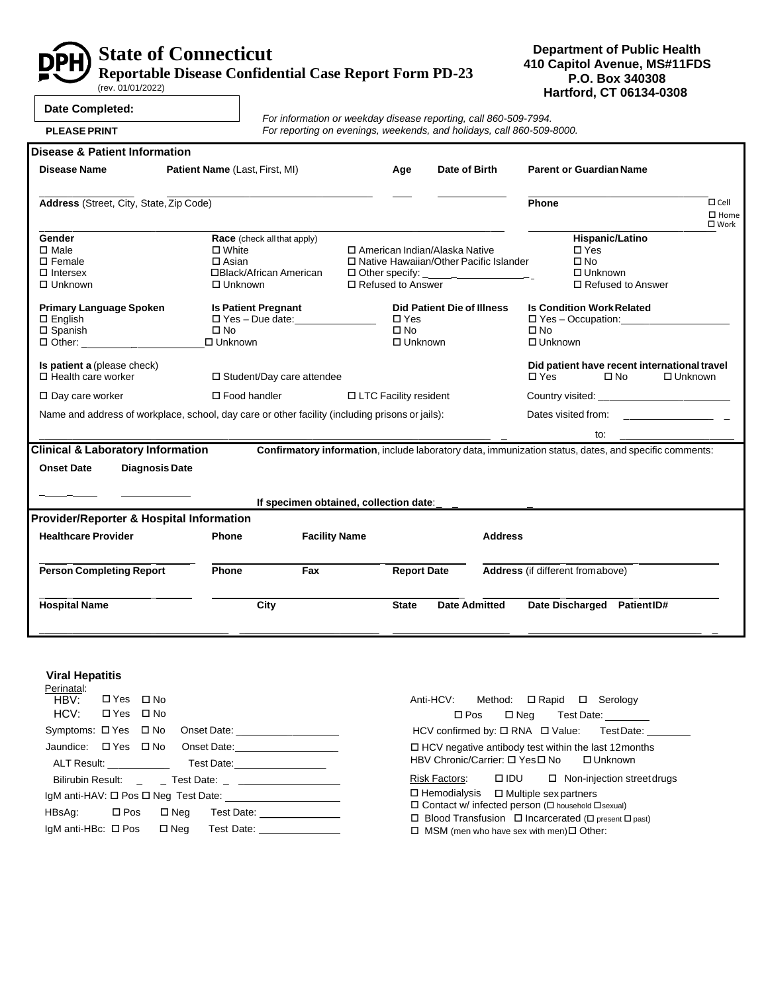

# **State of Connecticut**

**Reportable Disease Confidential Case Report Form PD-23**

(rev. 01/01/2022)

### **Department of Public Health 410 Capitol Avenue, MS#11FDS P.O. Box 340308 Hartford, CT 06134-0308**

٦

|  | Date Completed: |  |
|--|-----------------|--|
|--|-----------------|--|

**PLEASE PRINT**

*For information or weekday disease reporting, call 860-509-7994. For reporting on evenings, weekends, and holidays, call 860-509-8000.*

| Disease & Patient Information                                                                    |                                                                                                            |                                        |                                                 |                                                                             |                                                                                                               |
|--------------------------------------------------------------------------------------------------|------------------------------------------------------------------------------------------------------------|----------------------------------------|-------------------------------------------------|-----------------------------------------------------------------------------|---------------------------------------------------------------------------------------------------------------|
| <b>Disease Name</b>                                                                              | Patient Name (Last, First, MI)                                                                             |                                        | Age                                             | Date of Birth                                                               | <b>Parent or Guardian Name</b>                                                                                |
| Address (Street, City, State, Zip Code)                                                          |                                                                                                            |                                        |                                                 |                                                                             | Phone<br>$\Box$ Cell<br>$\square$ Home                                                                        |
| Gender<br>$\square$ Male<br>$\square$ Female<br>$\Box$ Intersex<br>$\Box$ Unknown                | <b>Race</b> (check all that apply)<br>$\Box$ White<br>$\Box$ Asian<br>□Black/African American<br>□ Unknown |                                        | □ Refused to Answer                             | □ American Indian/Alaska Native<br>□ Native Hawaiian/Other Pacific Islander | $\square$ Work<br>Hispanic/Latino<br>$\Box$ Yes<br>$\square$ No<br>$\Box$ Unknown<br>$\Box$ Refused to Answer |
| <b>Primary Language Spoken</b><br>$\Box$ English<br>$\square$ Spanish<br>$\Box$ Other: _ _ _ _ _ | <b>Is Patient Pregnant</b><br>$\square$ No<br>$\Box$ Unknown                                               | $\square$ Yes - Due date:              | $\square$ Yes<br>$\square$ No<br>$\Box$ Unknown | <b>Did Patient Die of Illness</b>                                           | <b>Is Condition Work Related</b><br>$\Box$ Yes – Occupation: $\Box$<br>$\square$ No<br>$\Box$ Unknown         |
| Is patient a (please check)<br>$\Box$ Health care worker                                         | □ Student/Day care attendee                                                                                |                                        |                                                 |                                                                             | Did patient have recent international travel<br>$\Box$ Yes<br>$\square$ No<br>$\Box$ Unknown                  |
| $\Box$ Day care worker                                                                           | $\square$ Food handler                                                                                     |                                        | □ LTC Facility resident                         |                                                                             |                                                                                                               |
|                                                                                                  | Name and address of workplace, school, day care or other facility (including prisons or jails):            |                                        |                                                 |                                                                             | Dates visited from: Dates visited from:                                                                       |
|                                                                                                  |                                                                                                            |                                        |                                                 |                                                                             | to:                                                                                                           |
| <b>Clinical &amp; Laboratory Information</b><br><b>Onset Date</b><br><b>Diagnosis Date</b>       |                                                                                                            | If specimen obtained, collection date: |                                                 |                                                                             | Confirmatory information, include laboratory data, immunization status, dates, and specific comments:         |
| <b>Provider/Reporter &amp; Hospital Information</b>                                              |                                                                                                            |                                        |                                                 |                                                                             |                                                                                                               |
| <b>Healthcare Provider</b>                                                                       | Phone                                                                                                      | <b>Facility Name</b>                   |                                                 | <b>Address</b>                                                              |                                                                                                               |
| <b>Person Completing Report</b>                                                                  | Phone                                                                                                      | Fax                                    | <b>Report Date</b>                              |                                                                             | Address (if different fromabove)                                                                              |
| <b>Hospital Name</b>                                                                             | City                                                                                                       |                                        | <b>State</b>                                    | <b>Date Admitted</b>                                                        | Date Discharged PatientID#                                                                                    |
|                                                                                                  |                                                                                                            |                                        |                                                 |                                                                             |                                                                                                               |

### **Viral Hepatitis**

| Perinatal:           |  |  |  |  |                                                        |
|----------------------|--|--|--|--|--------------------------------------------------------|
| HBV: OlYes ONo       |  |  |  |  |                                                        |
| HCV: OlYes OlNo      |  |  |  |  |                                                        |
| Symptoms: □ Yes □ No |  |  |  |  |                                                        |
| Jaundice: □ Yes □ No |  |  |  |  | Onset Date: _____________________                      |
|                      |  |  |  |  |                                                        |
|                      |  |  |  |  |                                                        |
|                      |  |  |  |  |                                                        |
| HBsAg: □ Pos         |  |  |  |  | $\square$ Neg Test Date: $\_\_$                        |
|                      |  |  |  |  | IgM anti-HBc: □ Pos □ Neg Test Date: <u>__________</u> |

| Anti-HCV: Method: □ Rapid □ Serology                                                                                               |                                        |  |  |                                                            |  |
|------------------------------------------------------------------------------------------------------------------------------------|----------------------------------------|--|--|------------------------------------------------------------|--|
|                                                                                                                                    | $\square$ Pos $\square$ Neq Test Date: |  |  |                                                            |  |
|                                                                                                                                    |                                        |  |  | HCV confirmed by: □ RNA □ Value: TestDate:                 |  |
| $\Box$ HCV negative antibody test within the last 12 months<br>HBV Chronic/Carrier: □ Yes□ No □ Unknown                            |                                        |  |  |                                                            |  |
|                                                                                                                                    |                                        |  |  | Risk Factors: $\Box$ IDU $\Box$ Non-injection street drugs |  |
| $\Box$ Hemodialysis $\Box$ Multiple sex partners<br>□ Contact w/ infected person (□ household □ sexual)                            |                                        |  |  |                                                            |  |
| $\Box$ Blood Transfusion $\Box$ Incarcerated ( $\Box$ present $\Box$ past)<br>$\Box$ MSM (men who have sex with men) $\Box$ Other: |                                        |  |  |                                                            |  |